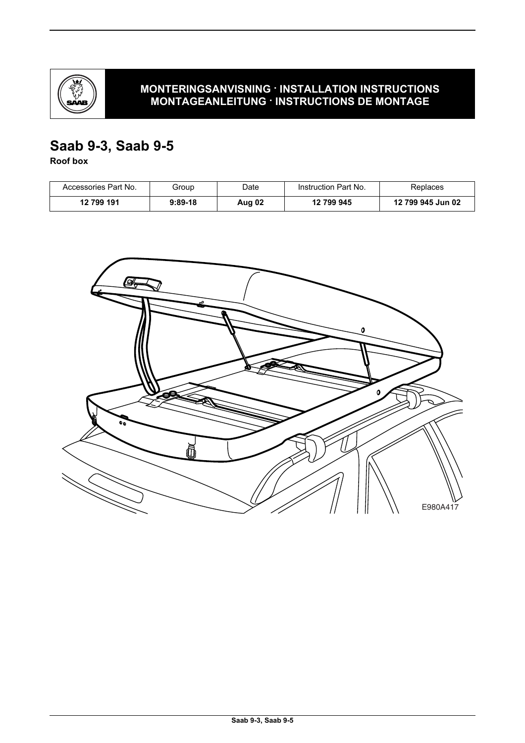

# **MONTERINGSANVISNING · INSTALLATION INSTRUCTIONS MONTAGEANLEITUNG · INSTRUCTIONS DE MONTAGE**

# **Saab 9-3, Saab 9-5**

**Roof box**

| Accessories Part No. | Group     | Date   | Instruction Part No. | Replaces          |
|----------------------|-----------|--------|----------------------|-------------------|
| 12 799 191           | $9:89-18$ | Aug 02 | 12 799 945           | 12 799 945 Jun 02 |

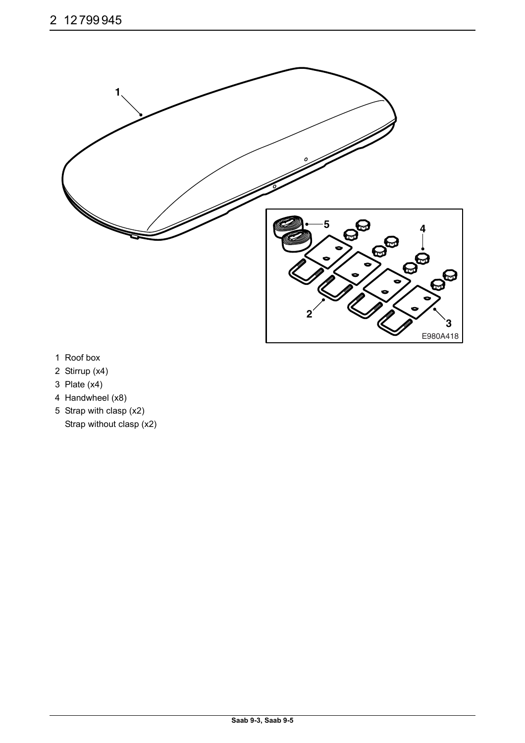

- 1 Roof box
- 2 Stirrup (x4)
- 3 Plate (x4)
- 4 Handwheel (x8)
- 5 Strap with clasp (x2) Strap without clasp (x2)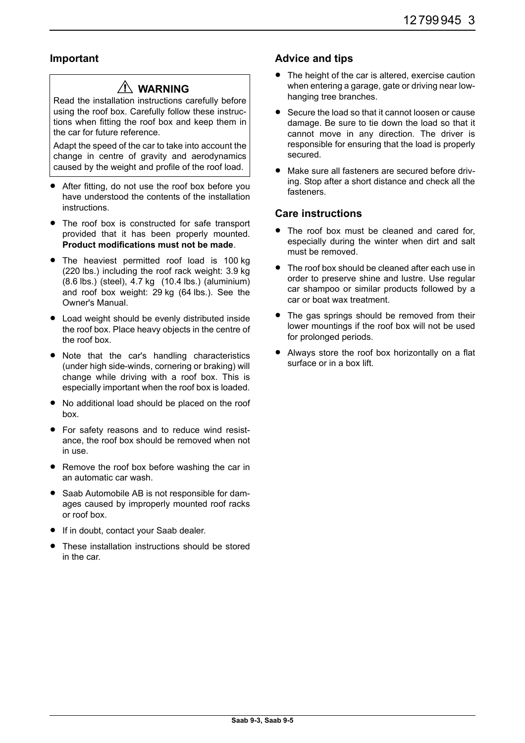### **Important**

# **WARNING**

Read the installation instructions carefully before using the roof box. Carefully follow these instructions when fitting the roof box and keep them in the car for future reference.

Adapt the speed of the car to take into account the change in centre of gravity and aerodynamics caused by the weight and profile of the roof load.

- After fitting, do not use the roof box before you have understood the contents of the installation instructions.
- The roof box is constructed for safe transport provided that it has been properly mounted. **Product modifications must not be made**.
- The heaviest permitted roof load is 100 kg (220 lbs.) including the roof rack weight: 3.9 kg (8.6 lbs.) (steel), 4.7 kg (10.4 lbs.) (aluminium) and roof box weight: 29 kg (64 lbs.). See the Owner's Manual.
- Load weight should be evenly distributed inside the roof box. Place heavy objects in the centre of the roof box.
- Note that the car's handling characteristics (under high side-winds, cornering or braking) will change while driving with a roof box. This is especially important when the roof box is loaded.
- No additional load should be placed on the roof box.
- For safety reasons and to reduce wind resistance, the roof box should be removed when not in use.
- Remove the roof box before washing the car in an automatic car wash.
- Saab Automobile AB is not responsible for damages caused by improperly mounted roof racks or roof box.
- **If in doubt, contact your Saab dealer.**
- These installation instructions should be stored in the car.

#### **Advice and tips**

- The height of the car is altered, exercise caution when entering a garage, gate or driving near lowhanging tree branches.
- Secure the load so that it cannot loosen or cause damage. Be sure to tie down the load so that it cannot move in any direction. The driver is responsible for ensuring that the load is properly secured.
- Make sure all fasteners are secured before driving. Stop after a short distance and check all the fasteners.

#### **Care instructions**

- The roof box must be cleaned and cared for. especially during the winter when dirt and salt must be removed.
- The roof box should be cleaned after each use in order to preserve shine and lustre. Use regular car shampoo or similar products followed by a car or boat wax treatment.
- The gas springs should be removed from their lower mountings if the roof box will not be used for prolonged periods.
- Always store the roof box horizontally on a flat surface or in a box lift.